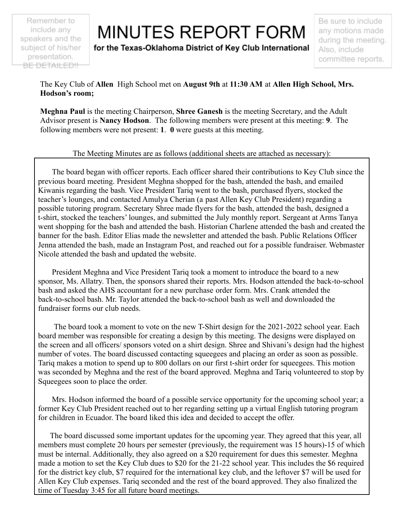Remember to include any speakers and the subject of his/her presentation. BE DETAILED!!

## **MINUTES REPORT FORM**

for the Texas-Oklahoma District of Key Club International

Be sure to include any motions made during the meeting. Also, include committee reports.

The Key Club of **Allen** High School met on **August 9th** at **11:30 AM** at **Allen High School, Mrs. Hodson's room;**

**Meghna Paul** is the meeting Chairperson, **Shree Ganesh** is the meeting Secretary, and the Adult Advisor present is **Nancy Hodson**. The following members were present at this meeting: **9**. The following members were not present: **1**. **0** were guests at this meeting.

## The Meeting Minutes are as follows (additional sheets are attached as necessary):

The board began with officer reports. Each officer shared their contributions to Key Club since the previous board meeting. President Meghna shopped for the bash, attended the bash, and emailed Kiwanis regarding the bash. Vice President Tariq went to the bash, purchased flyers, stocked the teacher's lounges, and contacted Amulya Cherian (a past Allen Key Club President) regarding a possible tutoring program. Secretary Shree made flyers for the bash, attended the bash, designed a t-shirt, stocked the teachers' lounges, and submitted the July monthly report. Sergeant at Arms Tanya went shopping for the bash and attended the bash. Historian Charlene attended the bash and created the banner for the bash. Editor Elias made the newsletter and attended the bash. Public Relations Officer Jenna attended the bash, made an Instagram Post, and reached out for a possible fundraiser. Webmaster Nicole attended the bash and updated the website.

President Meghna and Vice President Tariq took a moment to introduce the board to a new sponsor, Ms. Allatry. Then, the sponsors shared their reports. Mrs. Hodson attended the back-to-school bash and asked the AHS accountant for a new purchase order form. Mrs. Crank attended the back-to-school bash. Mr. Taylor attended the back-to-school bash as well and downloaded the fundraiser forms our club needs.

The board took a moment to vote on the new T-Shirt design for the 2021-2022 school year. Each board member was responsible for creating a design by this meeting. The designs were displayed on the screen and all officers/ sponsors voted on a shirt design. Shree and Shivani's design had the highest number of votes. The board discussed contacting squeegees and placing an order as soon as possible. Tariq makes a motion to spend up to 800 dollars on our first t-shirt order for squeegees. This motion was seconded by Meghna and the rest of the board approved. Meghna and Tariq volunteered to stop by Squeegees soon to place the order.

Mrs. Hodson informed the board of a possible service opportunity for the upcoming school year; a former Key Club President reached out to her regarding setting up a virtual English tutoring program for children in Ecuador. The board liked this idea and decided to accept the offer.

The board discussed some important updates for the upcoming year. They agreed that this year, all members must complete 20 hours per semester (previously, the requirement was 15 hours)-15 of which must be internal. Additionally, they also agreed on a \$20 requirement for dues this semester. Meghna made a motion to set the Key Club dues to \$20 for the 21-22 school year. This includes the \$6 required for the district key club, \$7 required for the international key club, and the leftover \$7 will be used for Allen Key Club expenses. Tariq seconded and the rest of the board approved. They also finalized the time of Tuesday 3:45 for all future board meetings.